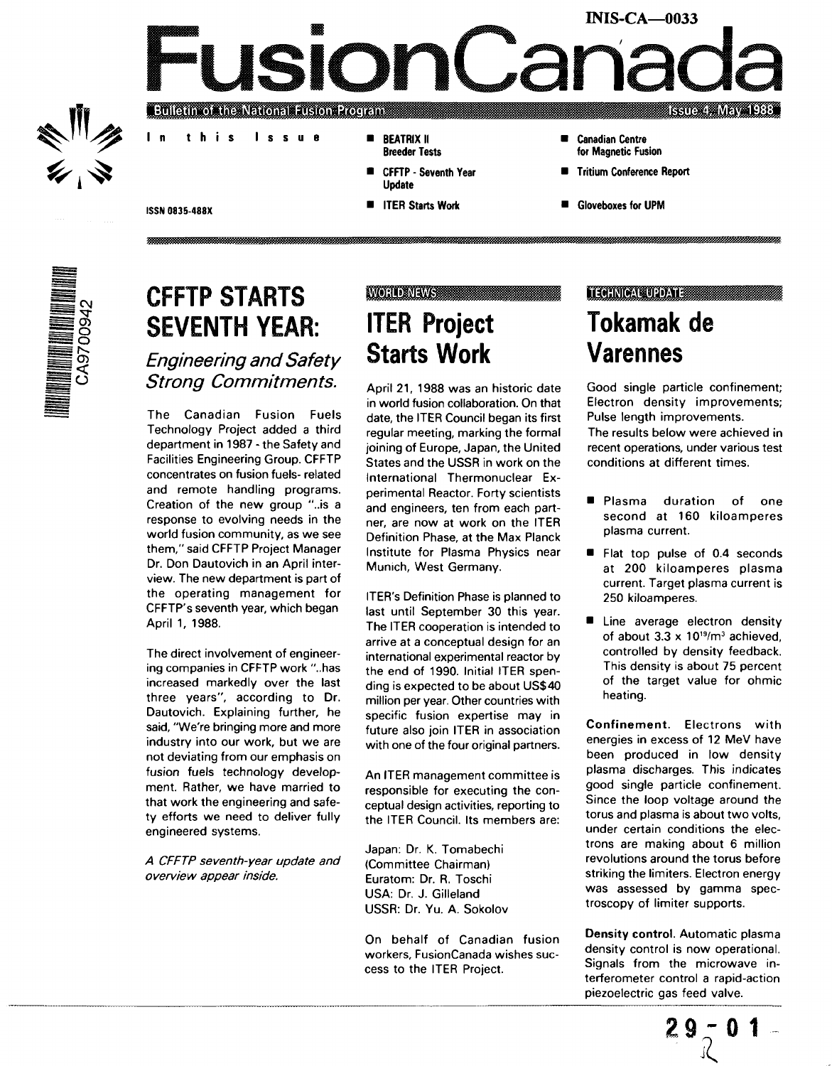### **INIS-CA—0033** JSION 7 **Bulgun of the National Fusion Program Issue 4: May 1988**

- 
- In this Issue
	- **BEATRIX II** Breeder Tests
	- CFFTP Seventh Year Update
	- **III ITER Starts Work**
- **Canadian Centre** for Magnetic Fusion
- Tritium Conference Report
- **Gloveboxes for UPM**

**ISSN 0835-488X**



# **CFFTP STARTS SEVENTH YEAR:**

Engineering and Safety Strong Commitments.

The Canadian Fusion Fuels Technology Project added a third department in 1987 - the Safety and Facilities Engineering Group. CFFTP concentrates on fusion fuels- related and remote handling programs. Creation of the new group "..is a response to evolving needs in the world fusion community, as we see them," said CFFTP Project Manager Dr. Don Dautovich in an April interview. The new department is part of the operating management for CFFTP's seventh year, which began April 1, 1988.

The direct involvement of engineering companies in CFFTP work "..has increased markedly over the last three years", according to Dr. Dautovich. Explaining further, he said, "We're bringing more and more industry into our work, but we are not deviating from our emphasis on fusion fuels technology development. Rather, we have married to that work the engineering and safety efforts we need to deliver fully engineered systems.

A CFFTP seventh-year update and overview appear inside.

### **WORLD NEWS ITER Project Starts Work**

April 21, 1988 was an historic date in world fusion collaboration. On that date, the ITER Council began its first regular meeting, marking the formal joining of Europe, Japan, the United States and the USSR in work on the International Thermonuclear Experimental Reactor. Forty scientists and engineers, ten from each partner, are now at work on the ITER Definition Phase, at the Max Planck Institute for Plasma Physics near Munich, West Germany.

ITER's Definition Phase is planned to last until September 30 this year. The ITER cooperation is intended to arrive at a conceptual design for an international experimental reactor by the end of 1990. Initial ITER spending is expected to be about US\$40 million per year. Other countries with specific fusion expertise may in future also join ITER in association with one of the four original partners.

An ITER management committee is responsible for executing the conceptual design activities, reporting to the ITER Council. Its members are:

Japan: Dr. K. Tomabechi (Committee Chairman) Euratom: Dr. R. Toschi USA: Dr. J. Gilleland USSR: Dr. Yu. A. Sokolov

On behalf of Canadian fusion workers, FusionCanada wishes success to the ITER Project.

### **TECHNICAL UPDATE**

# **Tokamak de Varennes**

Good single particle confinement; Electron density improvements; Pulse length improvements.

The results below were achieved in recent operations, under various test conditions at different times.

- **Plasma** duration of one second at 160 kiloamperes plasma current.
- **Flat top pulse of 0.4 seconds** at 200 kiloamperes plasma current. Target plasma current is 250 kiloamperes.
- **E** Line average electron density of about  $3.3 \times 10^{19}$ /m<sup>3</sup> achieved, controlled by density feedback. This density is about 75 percent of the target value for ohmic heating.

Confinement. Electrons with energies in excess of 12 MeV have been produced in low density plasma discharges. This indicates good single particle confinement. Since the loop voltage around the torus and plasma is about two volts, under certain conditions the electrons are making about 6 million revolutions around the torus before striking the limiters. Electron energy was assessed by gamma spectroscopy of limiter supports.

Density control. Automatic plasma density control is now operational. Signals from the microwave interferometer control a rapid-action piezoelectric gas feed valve.

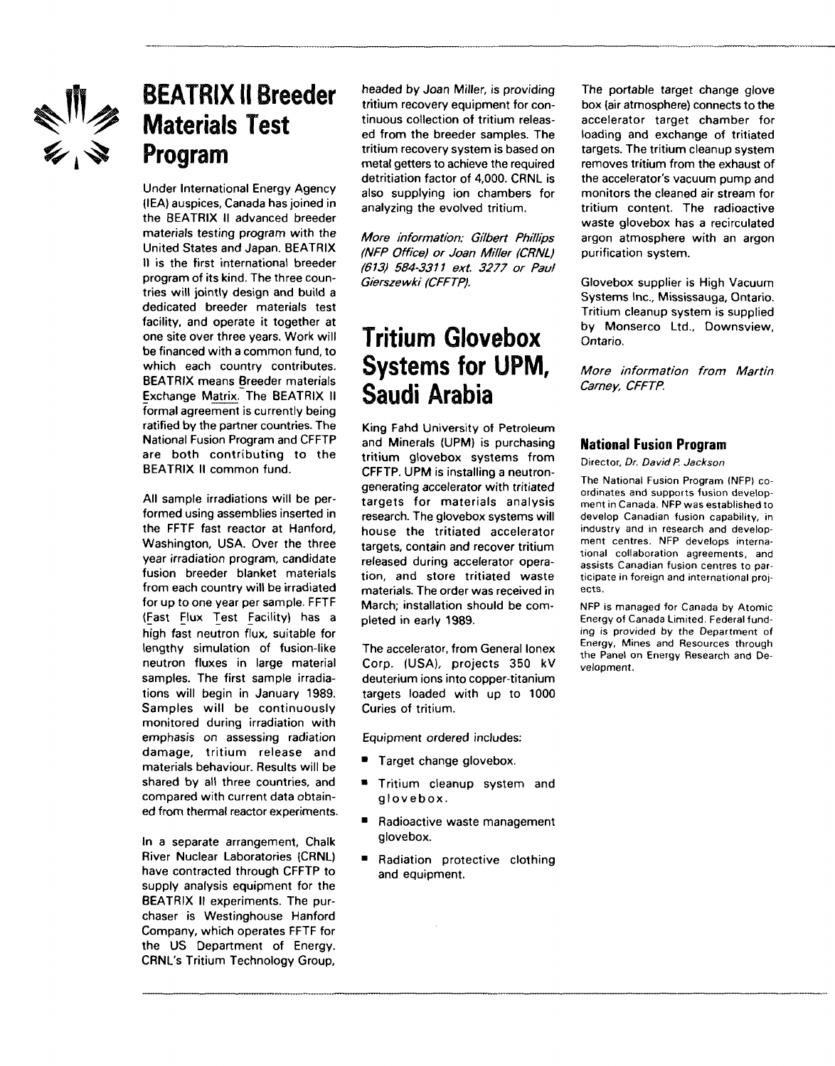

# **BEATRIX II Breeder Materials Test Program**

Under International Energy Agency (IEA) auspices, Canada has joined in the BEATRIX II advanced breeder materials testing program with the United States and Japan. BEATRIX II is the first international breeder program of its kind. The three countries will jointly design and build a dedicated breeder materials test facility, and operate it together at one site over three years. Work will be financed with a common fund, to which each country contributes. BEATRIX means Breeder materials Exchange Matrix. The BEATRIX II formal agreement is currently being ratified by the partner countries. The National Fusion Program and CFFTP are both contributing to the BEATRIX II common fund.

All sample irradiations will be performed using assemblies inserted in the FFTF fast reactor at Hanford, Washington, USA. Over the three year irradiation program, candidate fusion breeder blanket materials from each country will be irradiated for up to one year per sample. FFTF (Fast Flux Test Facility) has a high fast neutron flux, suitable for lengthy simulation of fusion-like neutron fluxes in large material samples. The first sample irradiations will begin in January 1989. Samples will be continuously monitored during irradiation with emphasis on assessing radiation damage, tritium release and materials behaviour. Results will be shared by all three countries, and compared with current data obtained from thermal reactor experiments.

In a separate arrangement, Chalk River Nuclear Laboratories (CRNL) have contracted through CFFTP to supply analysis equipment for the BEATRIX II experiments. The purchaser is Westinghouse Hanford Company, which operates FFTF for the US Department of Energy. CRNL's Tritium Technology Group,

headed by Joan Miller, is providing tritium recovery equipment for continuous collection of tritium released from the breeder samples. The tritium recovery system is based on metal getters to achieve the required detritiation factor of 4,000. CRNL is also supplying ion chambers for analyzing the evolved tritium.

More information: Gilbert Phillips (NFP Office) or Joan Miller (CRNL) (613) 584-3311 ext. 3277 or Paul Gierszewki (CFFTP).

# Tritium Glovebox Systems for UPM, Saudi Arabia

King Fahd University of Petroleum and Minerals (UPM) is purchasing tritium glovebox systems from CFFTP. UPM is installing a neutrongenerating accelerator with tritiated targets for materials analysis research. The glovebox systems will house the tritiated accelerator targets, contain and recover tritium released during accelerator operation, and store tritiated waste materials. The order was received in March; installation should be completed in early 1989.

The accelerator, from General lonex Corp. (USA), projects 350 kV deuterium ions into copper-titanium targets loaded with up to 1000 Curies of tritium.

Equipment ordered includes:

- **Target change glovebox.**
- **Tritium cleanup system and** glovebox .
- Radioactive waste management glovebox.
- **Radiation protective clothing** and equipment.

The portable target change glove box (air atmosphere) connects to the accelerator target chamber for loading and exchange of tritiated targets. The tritium cleanup system removes tritium from the exhaust of the accelerator's vacuum pump and monitors the cleaned air stream for tritium content. The radioactive waste glovebox has a recirculated argon atmosphere with an argon purification system.

Glovebox supplier is High Vacuum Systems Inc., Mississauga, Ontario. Tritium cleanup system is supplied by Monserco Ltd., Downsview, Ontario.

More information from Martin Carney, CFFTP.

#### **National Fusion Program**

Director, Dr. David P. Jackson

The National Fusion Program (NFP) coordinates and supports fusion development in Canada. NFP was established to develop Canadian fusion capability, in industry and in research and development centres. NFP develops international collaboration agreements, and assists Canadian fusion centres to participate in foreign and international projects.

NFP is managed for Canada by Atomic Energy of Canada Limited. Federal funding is provided by the Department of Energy, Mines and Resources through the Panel on Energy Research and Development.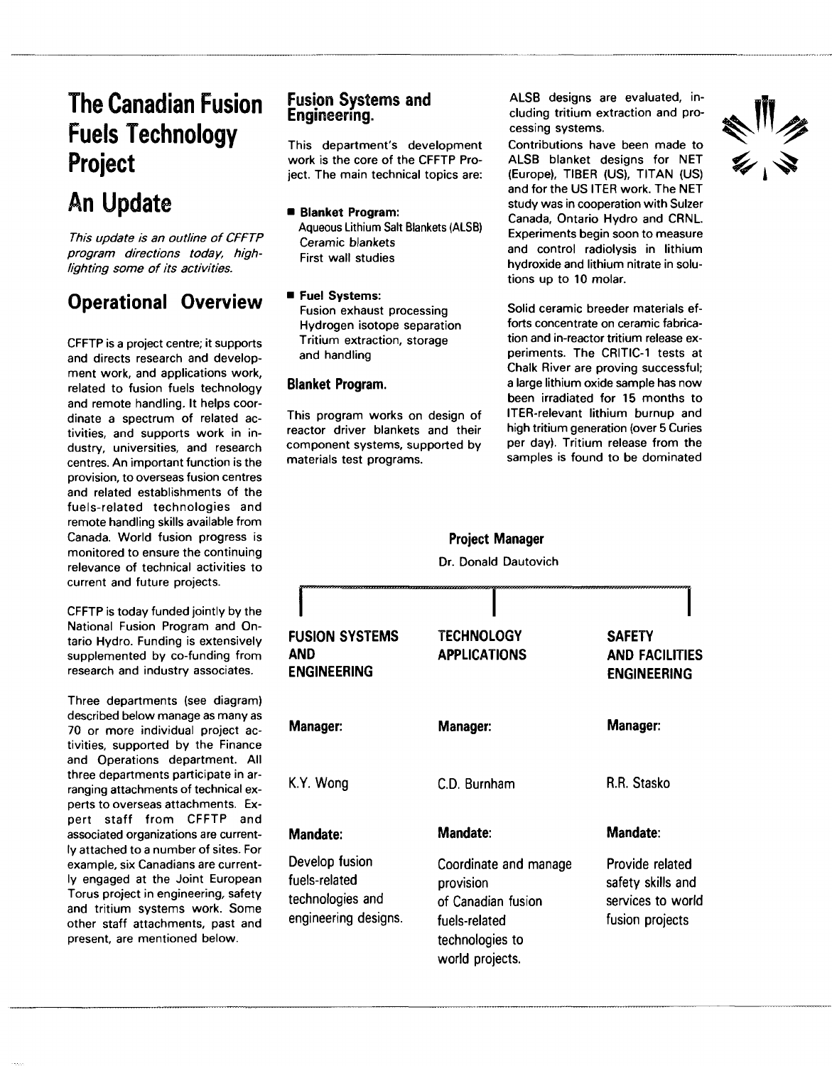# **The Canadian Fusion Fuels Technology Project**

# **An Update**

This update is an outline of CFFTP program directions today, highlighting some of its activities.

### **Operational Overview**

CFFTP is a project centre; it supports and directs research and development work, and applications work, related to fusion fuels technology and remote handling. It helps coordinate a spectrum of related activities, and supports work in industry, universities, and research centres. An important function is the provision, to overseas fusion centres and related establishments of the fuels-related technologies and remote handling skills available from Canada. World fusion progress is monitored to ensure the continuing relevance of technical activities to current and future projects.

CFFTP is today funded jointly by the National Fusion Program and Ontario Hydro. Funding is extensively supplemented by co-funding from research and industry associates.

Three departments (see diagram) described below manage as many as 70 or more individual project activities, supported by the Finance and Operations department. All three departments participate in arranging attachments of technical experts to overseas attachments. Expert staff from CFFTP and associated organizations are currently attached to a number of sites. For example, six Canadians are currently engaged at the Joint European Torus project in engineering, safety and tritium systems work. Some other staff attachments, past and present, are mentioned below.

### Fusion Systems and Engineering.

This department's development work is the core of the CFFTP Project. The main technical topics are:

- **Blanket Program:** Aqueous Lithium Salt Blankets (ALSB) Ceramic blankets First wall studies
- **Fuel Systems:** Fusion exhaust processing Hydrogen isotope separation Tritium extraction, storage and handling

#### **Blanket Program.**

This program works on design of reactor driver blankets and their component systems, supported by materials test programs.

ALSB designs are evaluated, including tritium extraction and processing systems.

Contributions have been made to ALSB blanket designs for NET (Europe), TIBER (US), TITAN (US) and for the US ITER work. The NET study was in cooperation with Sulzer Canada, Ontario Hydro and CRNL. Experiments begin soon to measure and control radiolysis in lithium hydroxide and lithium nitrate in solutions up to 10 molar.

Solid ceramic breeder materials efforts concentrate on ceramic fabrication and in-reactor tritium release experiments. The CRITIC-1 tests at Chalk River are proving successful; a large lithium oxide sample has now been irradiated for 15 months to ITER-relevant lithium burnup and high tritium generation (over 5 Curies per day). Tritium release from the samples is found to be dominated

|                                                                             | Dr. Donald Dautovich                                                                                            |                                                                              |
|-----------------------------------------------------------------------------|-----------------------------------------------------------------------------------------------------------------|------------------------------------------------------------------------------|
|                                                                             |                                                                                                                 |                                                                              |
| <b>FUSION SYSTEMS</b><br>AND<br>ENGINEERING                                 | <b>TECHNOLOGY</b><br><b>APPLICATIONS</b>                                                                        | <b>SAFETY</b><br><b>AND FACILITIES</b><br><b>ENGINEERING</b>                 |
| <b>Manager:</b>                                                             | Manager:                                                                                                        | Manager:                                                                     |
| K.Y. Wong                                                                   | C.D. Burnham                                                                                                    | R.R. Stasko                                                                  |
| <b>Mandate:</b>                                                             | <b>Mandate:</b>                                                                                                 | Mandate:                                                                     |
| Develop fusion<br>fuels-related<br>technologies and<br>engineering designs. | Coordinate and manage<br>provision<br>of Canadian fusion<br>fuels-related<br>technologies to<br>world projects. | Provide related<br>safety skills and<br>services to world<br>fusion projects |

**Project Manager**

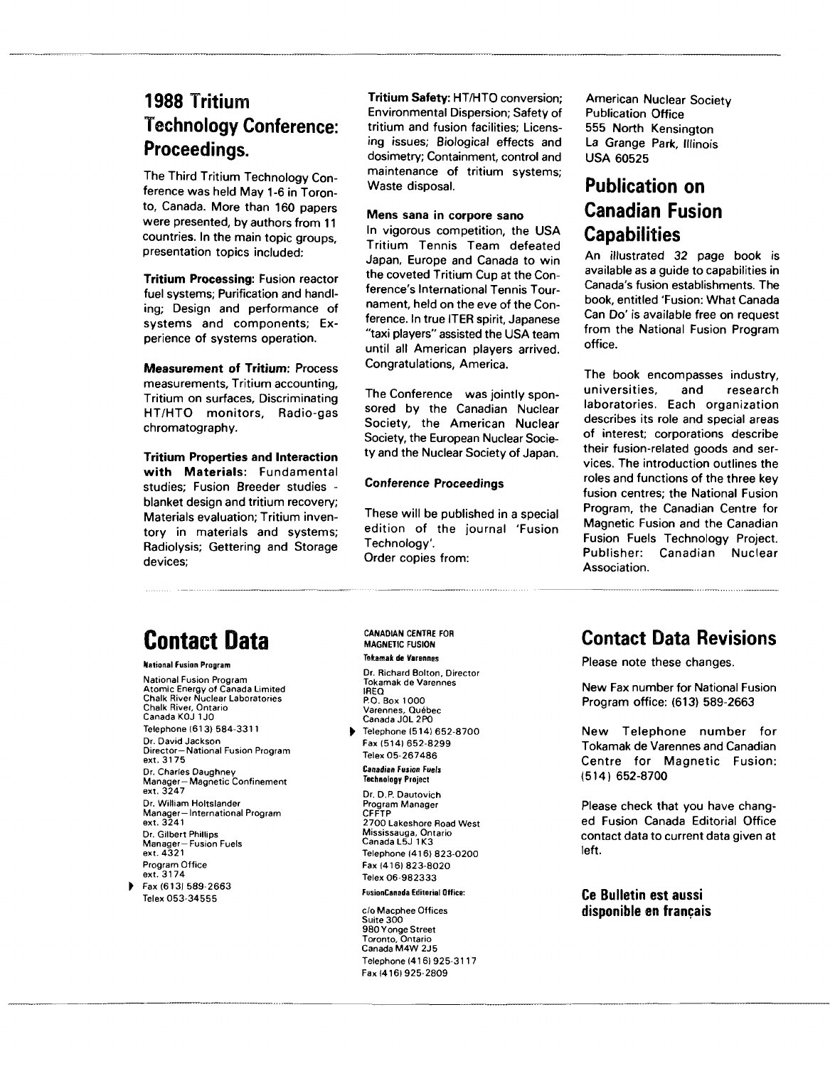### **1988 Tritium Technology Conference: Proceedings.**

The Third Tritium Technology Conference was held May 1-6 in Toronto, Canada. More than 160 papers were presented, by authors from 11 countries. In the main topic groups, presentation topics included:

**Tritium Processing:** Fusion reactor fuel systems; Purification and handling; Design and performance of systems and components; Experience of systems operation.

**Measurement of Tritium:** Process measurements. Tritium accounting. Tritium on surfaces. Discriminating HT/HTO monitors. Radio-gas chromatography.

**Tritium Properties and Interaction with Materials:** Fundamental studies; Fusion Breeder studies blanket design and tritium recovery; Materials evaluation; Tritium inventory in materials and systems; Radiolysis; Gettering and Storage devices;

**Tritium Safety:** HT/HTO conversion; Environmental Dispersion; Safety of tritium and fusion facilities; Licensing issues; Biological effects and dosimetry; Containment, control and maintenance of tritium systems; Waste disposal.

#### **Mens sana in corpore sano**

In vigorous competition, the USA Tritium Tennis Team defeated Japan, Europe and Canada to win the coveted Tritium Cup at the Conference's International Tennis Tournament, held on the eve of the Conference. In true ITER spirit, Japanese "taxi players" assisted the USA team until all American players arrived. Congratulations, America.

The Conference was jointly sponsored by the Canadian Nuclear Society, the American Nuclear Society, the European Nuclear Society and the Nuclear Society of Japan.

#### **Conference Proceedings**

These will be published in a special edition of the journal 'Fusion Technology'. Order copies from:

American Nuclear Society Publication Office 555 North Kensington La Grange Park, Illinois USA 60525

### **Publication on Canadian Fusion Capabilities**

An illustrated 32 page book is available as a guide to capabilities in Canada's fusion establishments. The book, entitled 'Fusion: What Canada Can Do' is available free on request from the National Fusion Program office.

The book encompasses industry, universities, and research laboratories. Each organization describes its role and special areas of interest; corporations describe their fusion-related goods and services. The introduction outlines the roles and functions of the three key fusion centres; the National Fusion Program, the Canadian Centre for Magnetic Fusion and the Canadian Fusion Fuels Technology Project. Publisher: Canadian Nuclear Association.

# **Contact Data**

National Fusion Program National Fusion Program Atomic Energy of Canada Limited Chalk River Nuclear Laboratories Chalk River, Ontario Canada KOJ 1J0 Telephone (61 3) 584-3311 Dr. David Jackson Director—National Fusion Program ext. 3175 Dr. Charles Daughney Manager—Magnetic Confinement ext. 3247 Dr. William Holtslander Manager—International Program ext. 3241 Dr. Gilbert Phillips Manager—Fusion Fuels ext. 4321 Program Office ext. 3174  $Fax (613) 589-2663$ Telex 053-34555

CANADIAN CENTRE FOR MAGNETIC FUSION Tekaraak de Varennes

Dr. Richard Bolton, Director Tokamak de Varennes IREQ P.O. Box 1000 Varennes, Québec

Telephone (514) 652-8700 Telephone (514) 652-8700 Fax (5141 652-8299 Telex 05-267486

Canadian Fusion Fuels Technology Project

Dr. D.P. Dautovich Program Manager CFFTP 2700 Lakeshore Road West Mississauga, Ontario<br>Canada L5J 1K3 Telephone (416) 823-0200 Fax (416) 823-8020  $\frac{1}{2}$   $\frac{1}{2}$   $\frac{1}{2}$   $\frac{1}{2}$   $\frac{1}{2}$   $\frac{1}{2}$   $\frac{1}{2}$   $\frac{1}{2}$   $\frac{1}{2}$   $\frac{1}{2}$   $\frac{1}{2}$   $\frac{1}{2}$   $\frac{1}{2}$   $\frac{1}{2}$   $\frac{1}{2}$   $\frac{1}{2}$   $\frac{1}{2}$   $\frac{1}{2}$   $\frac{1}{2}$   $\frac{1}{2}$   $\frac{1}{2}$   $\frac{1}{2}$  Telex 06-982333

FusionCansda Editorial Office:

c/o Macphee Offices Suite 300 980 Yonge Street Toronto, Ontario<br>Canada M4W 2J5 Telephone (416) 925-3117 Fax 1416) 925-2809

### **Contact Data Revisions**

Please note these changes.

New Fax number for National Fusion Program office: (613) 589-2663

New Telephone number for Tokamak de Varennes and Canadian Centre for Magnetic Fusion: (514) 652-8700

Please check that you have changed Fusion Canada Editorial Office contact data to current data given at left.

**Ce Bulletin est aussi disponible en français**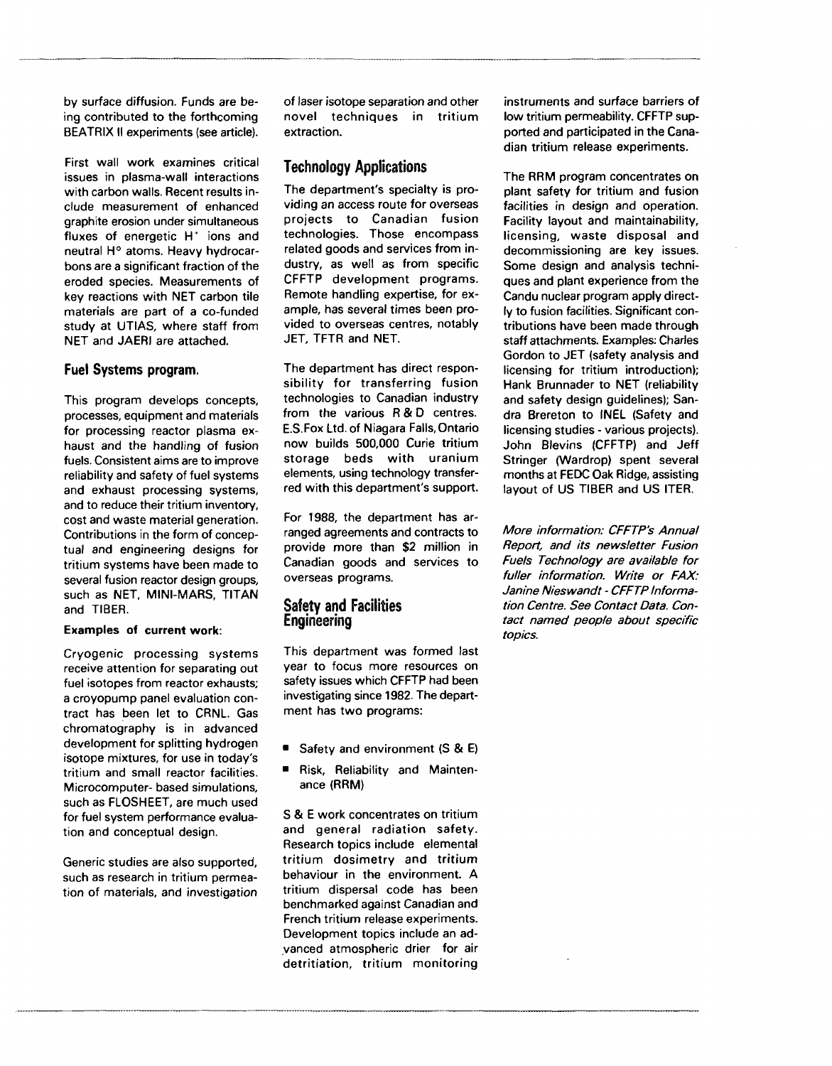by surface diffusion. Funds are being contributed to the forthcoming BEATRIX II experiments (see article).

First wall work examines critical issues in plasma-wall interactions with carbon walls. Recent results include measurement of enhanced graphite erosion under simultaneous fluxes of energetic H<sup>+</sup> ions and neutral H° atoms. Heavy hydrocarbons are a significant fraction of the eroded species. Measurements of key reactions with NET carbon tile materials are part of a co-funded study at UTIAS, where staff from NET and JAERI are attached.

#### **Fuel Systems program.**

This program develops concepts, processes, equipment and materials for processing reactor plasma exhaust and the handling of fusion fuels. Consistent aims are to improve reliability and safety of fuel systems and exhaust processing systems, and to reduce their tritium inventory, cost and waste material generation. Contributions in the form of conceptual and engineering designs for tritium systems have been made to several fusion reactor design groups, such as NET, MINI-MARS, TITAN and TIBER.

#### **Examples of current work:**

Cryogenic processing systems receive attention for separating out fuel isotopes from reactor exhausts; a croyopump panel evaluation contract has been let to CRNL. Gas chromatography is in advanced development for splitting hydrogen isotope mixtures, for use in today's tritium and small reactor facilities. Microcomputer- based simulations, such as FLOSHEET, are much used for fuel system performance evaluation and conceptual design.

Generic studies are also supported, such as research in tritium permeation of materials, and investigation of laser isotope separation and other novel techniques in tritium extraction.

#### Technology Applications

The department's specialty is providing an access route for overseas projects to Canadian fusion technologies. Those encompass related goods and services from industry, as well as from specific CFFTP development programs. Remote handling expertise, for example, has several times been provided to overseas centres, notably JET, TFTR and NET.

The department has direct responsibility for transferring fusion technologies to Canadian industry from the various R & D centres. E.S.Fox Ltd. of Niagara Falls.Ontario now builds 500,000 Curie tritium storage beds with uranium elements, using technology transferred with this department's support.

For 1988, the department has arranged agreements and contracts to provide more than \$2 million in Canadian goods and services to overseas programs.

#### Safety and Facilities Engineering

This department was formed last year to focus more resources on safety issues which CFFTP had been investigating since 1982. The department has two programs:

- **•** Safety and environment (S & E)
- Risk, Reliability and Maintenance (RRM)

S & E work concentrates on tritium and general radiation safety. Research topics include elemental tritium dosimetry and tritium behaviour in the environment. A tritium dispersal code has been benchmarked against Canadian and French tritium release experiments. Development topics include an advanced atmospheric drier for air detritiation, tritium monitoring

instruments and surface barriers of low tritium permeability. CFFTP supported and participated in the Canadian tritium release experiments.

The RRM program concentrates on plant safety for tritium and fusion facilities in design and operation. Facility layout and maintainability, licensing, waste disposal and decommissioning are key issues. Some design and analysis techniques and plant experience from the Candu nuclear program apply directly to fusion facilities. Significant contributions have been made through staff attachments. Examples: Charles Gordon to JET (safety analysis and licensing for tritium introduction); Hank Brunnader to NET (reliability and safety design guidelines); Sandra Brereton to INEL (Safety and licensing studies - various projects). John Blevins (CFFTP) and Jeff Stringer (Wardrop) spent several months at FEDC Oak Ridge, assisting layout of US TIBER and US ITER.

More information: CFFTP's Annual Report, and its newsletter Fusion Fuels Technology are available for fuller information. Write or FAX: Janine Nieswandt - CFFTP Information Centre. See Contact Data. Contact named people about specific topics.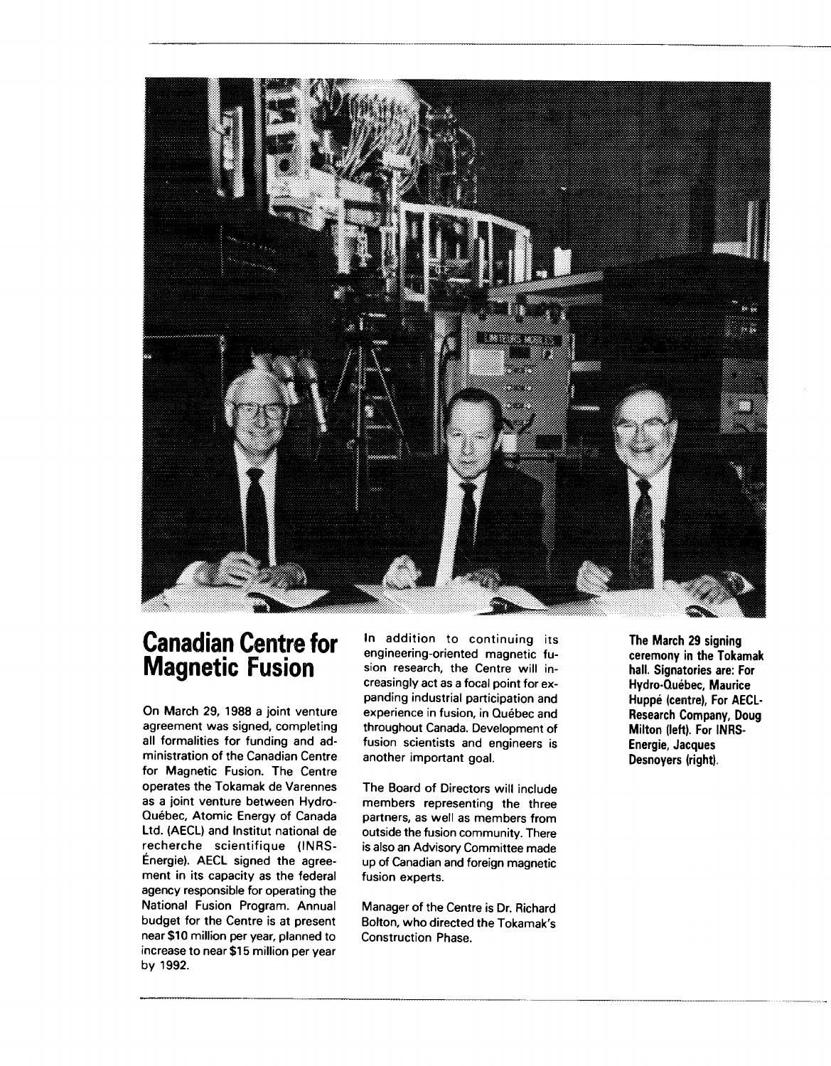

### **Canadian Centre for Magnetic Fusion**

On March 29, 1988 a joint venture agreement was signed, completing all formalities for funding and administration of the Canadian Centre for Magnetic Fusion. The Centre operates the Tokamak de Varennes as a joint venture between Hydro-Québec, Atomic Energy of Canada Ltd. (AECL) and Institut national de recherche scientifique (INRS-Énergie). AECL signed the agreement in its capacity as the federal agency responsible for operating the National Fusion Program. Annual budget for the Centre is at present near \$10 million per year, planned to increase to near \$15 million per year by 1992.

In addition to continuing its engineering-oriented magnetic fusion research, the Centre will increasingly act as a focal point for expanding industrial participation and experience in fusion, in Québec and throughout Canada. Development of fusion scientists and engineers is another important goal.

The Board of Directors will include members representing the three partners, as well as members from outside the fusion community. There is also an Advisory Committee made up of Canadian and foreign magnetic fusion experts.

Manager of the Centre is Dr. Richard Bolton, who directed the Tokamak's Construction Phase.

**The March 29 signing ceremony in the Tokamak hall. Signatories are: For Hydro-Québec, Maurice Huppé (centre), For AECL-Research Company, Doug Milton (left). For INRS-Energie, Jacques Desnoyers (right).**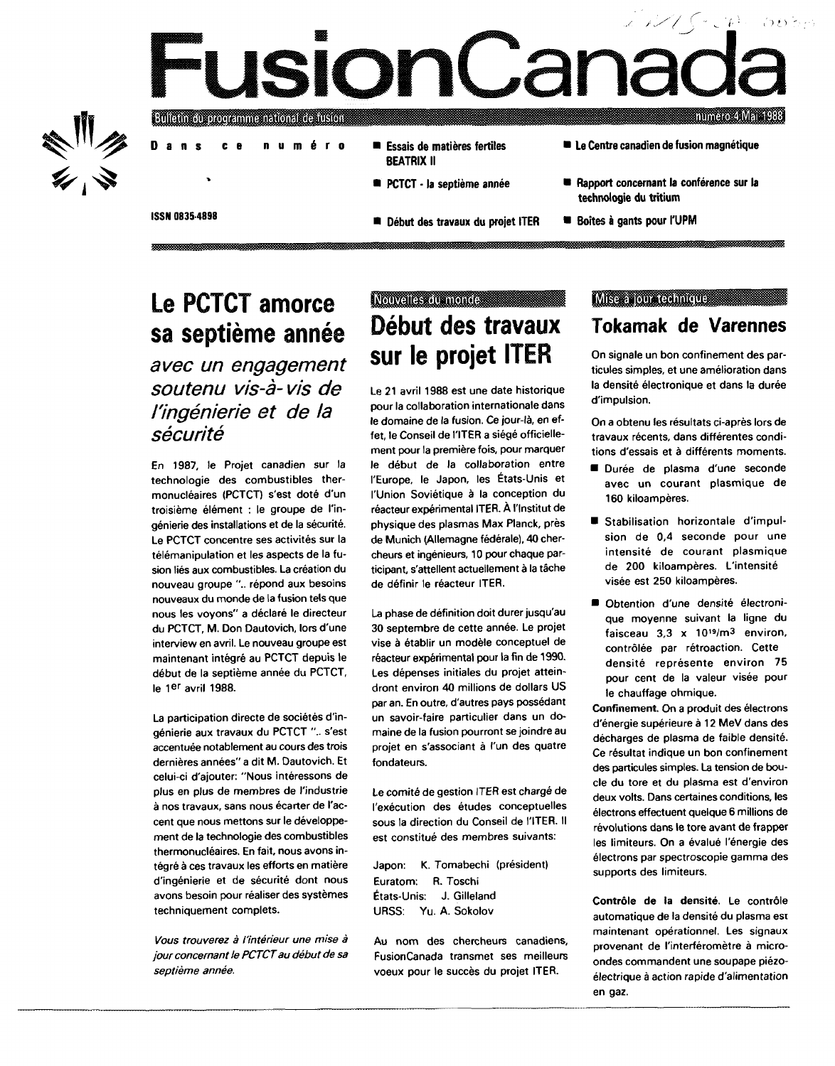# usionCal numero 4 Mai 1988



#### Bullam cu programme national de tuston

**Dan s c e numér o**

ISSN 0835-4898

- Essais de matières fertiles BEATRIX II
	- PCTCT la septième année
	- Début des travaux du projet ITER
- Le Centre canadien de fusion magnétique
- : Rapport concernant la conférence sur la technologie du tritium
- **Boîtes à gants pour l'UPM**

# **Le PCTCT amorce sa septième année**

avec un engagement soutenu vis-à- vis de l'ingénierie et de la sécurité

En 1987, le Projet canadien sur la technologie des combustibles thermonucléaires (PCTCT) s'est doté d'un troisième élément : le groupe de l'ingénierie des installations et de la sécurité. Le PCTCT concentre ses activités sur la télémanipulation et les aspects de la fusion liés aux combustibles. La création du nouveau groupe ".. répond aux besoins nouveaux du monde de la fusion tels que nous les voyons" a déclaré le directeur du PCTCT, M. Don Dautovich, lors d'une interview en avril. Le nouveau groupe est maintenant intégré au PCTCT depuis le début de la septième année du PCTCT, le 1<sup>er</sup> avril 1988.

La participation directe de sociétés d'ingénierie aux travaux du PCTCT ".. s'est accentuée notablement au cours des trois dernières années" a dit M. Dautovich. Et celui-ci d'ajouter: "Nous intéressons de plus en plus de membres de l'industrie à nos travaux, sans nous écarter de l'accent que nous mettons sur le développement de la technologie des combustibles thermonucléaires. En fait, nous avons intégré à ces travaux les efforts en matière d'ingénierie et de sécurité dont nous avons besoin pour réaliser des systèmes techniquement complets.

Vous trouverez à l'intérieur une mise à jour concernant le PCTCT au début de sa septième année.

### Nouvelles au monde **Début des travaux sur le projet ITER**

Le 21 avril 1988 est une date historique pour la collaboration internationale dans le domaine de la fusion. Ce jour-là, en effet, le Conseil de l'ITER a siégé officiellement pour la première fois, pour marquer le début de la collaboration entre l'Europe, le Japon, les États-Unis et l'Union Soviétique à la conception du réacteur expérimental ITER. À l'Institut de physique des plasmas Max Planck, près de Munich (Allemagne fédérale), 40 chercheurs et ingénieurs, 10 pour chaque participant, s'attellent actuellement à la tâche de définir le réacteur ITER.

La phase de définition doit durer jusqu'au 30 septembre de cette année. Le projet vise à établir un modèle conceptuel de réacteur expérimental pour la fin de 1990. Les dépenses initiales du projet atteindront environ 40 millions de dollars US par an. En outre, d'autres pays possédant un savoir-faire particulier dans un domaine de la fusion pourront se joindre au projet en s'associant à l'un des quatre fondateurs.

Le comité de gestion ITER est chargé de l'exécution des études conceptuelles sous la direction du Conseil de l'ITER. Il est constitué des membres suivants:

Japon: K. Tomabechi (président) Euratom: R. Toschi États-Unis: J. Gilleland URSS: Yu. A. Sokolov

Au nom des chercheurs canadiens, FusionCanada transmet ses meilleurs voeux pour le succès du projet ITER.

#### Mise a jour technique and a manual

### **Tokamak de Varennes**

On signale un bon confinement des particules simples, et une amélioration dans la densité électronique et dans la durée d'impulsion.

On a obtenu les résultats ci-après lors de travaux récents, dans différentes conditions d'essais et à différents moments.

- Durée de plasma d'une seconde avec un courant plasmique de 160 kiloampères.
- **E** Stabilisation horizontale d'impulsion de 0,4 seconde pour une intensité de courant plasmique de 200 kiloampères. L'intensité visée est 250 kiloampères.
- Obtention d'une densité électronique moyenne suivant la ligne du faisceau 3,3 x 10<sup>19</sup>/m<sup>3</sup> environ, contrôlée par rétroaction. Cette densité représente environ 75 pour cent de la valeur visée pour le chauffage ohmique.

Confinement. On a produit des électrons d'énergie supérieure à 12 MeV dans des décharges de plasma de faible densité. Ce résultat indique un bon confinement des particules simples. La tension de boucle du tore et du plasma est d'environ deux volts. Dans certaines conditions, les électrons effectuent quelque 6 millions de révolutions dans le tore avant de frapper les limiteurs. On a évalué l'énergie des électrons par spectroscopie gamma des supports des limiteurs.

Contrôle de la densité. Le contrôle automatique de la densité du plasma est maintenant opérationnel. Les signaux provenant de l'interféromètre à microondes commandent une soupape piézoélectrique à action rapide d'alimentation en gaz.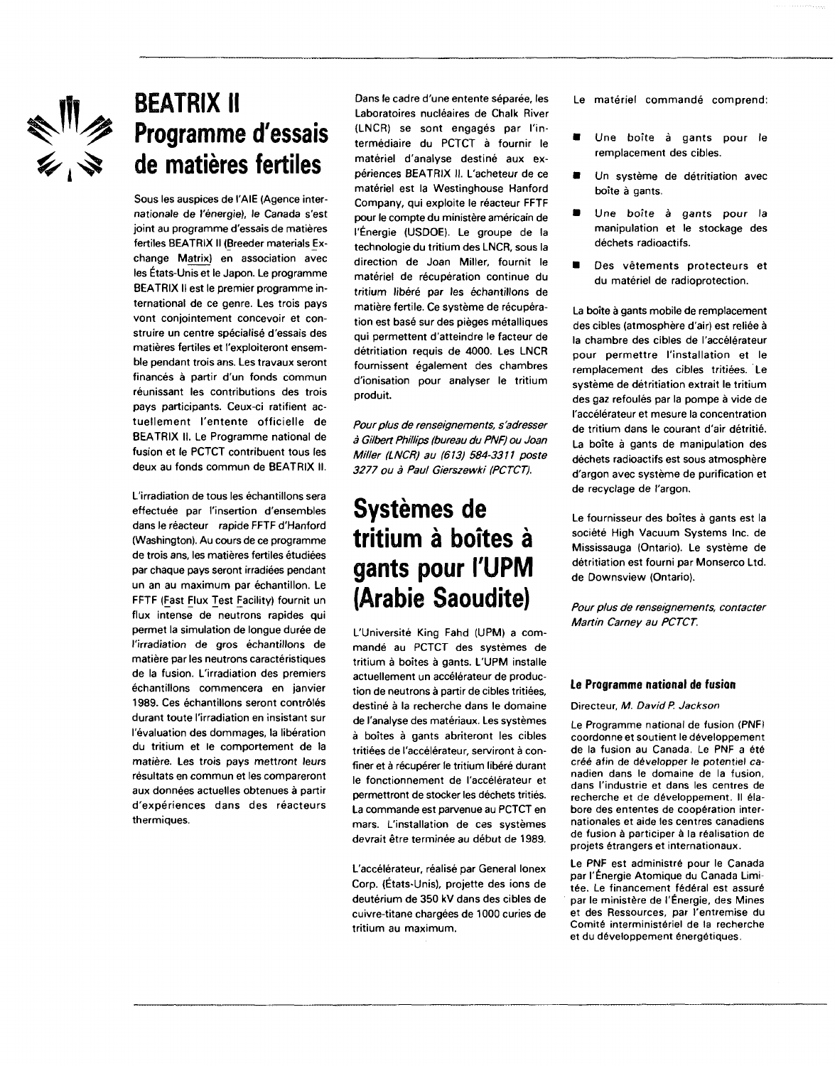

# **BEATRIX II Programme d'essais de matières fertiles**

Sous les auspices de l'AIE (Agence internationale de l'énergie), le Canada s'est joint au programme d'essais de matières fertiles BEATRIX II (Breeder materials Exchange Matrix) en association avec les États-Unis et le Japon. Le programme BEATRIX II est le premier programme international de ce genre. Les trois pays vont conjointement concevoir et construire un centre spécialisé d'essais des matières fertiles et l'exploiteront ensemble pendant trois ans. Les travaux seront financés à partir d'un fonds commun réunissant les contributions des trois pays participants. Ceux-ci ratifient actuellement l'entente officielle de BEATRIX II. Le Programme national de fusion et le PCTCT contribuent tous les deux au fonds commun de BEATRIX II.

L'irradiation de tous les échantillons sera effectuée par l'insertion d'ensembles dans le réacteur rapide FFTF d'Hanford (Washington). Au cours de ce programme de trois ans, les matières fertiles étudiées par chaque pays seront irradiées pendant un an au maximum par échantillon. Le FFTF (Fast Flux Test Facility) fournit un flux intense de neutrons rapides qui permet la simulation de longue durée de l'irradiation de gros échantillons de matière par les neutrons caractéristiques de la fusion. L'irradiation des premiers échantillons commencera en janvier 1989. Ces échantillons seront contrôlés durant toute l'irradiation en insistant sur l'évaluation des dommages, la libération du tritium et le comportement de la matière. Les trois pays mettront leurs résultats en commun et les compareront aux données actuelles obtenues à partir d'expériences dans des réacteurs thermiques.

Dans le cadre d'une entente séparée, les Laboratoires nucléaires de Chalk River (LNCR) se sont engagés par l'intermédiaire du PCTCT à fournir le matériel d'analyse destiné aux expériences BEATRIX II. L'acheteur de ce matériel est la Westinghouse Hanford Company, qui exploite le réacteur FFTF pour le compte du ministère américain de l'Énergie (USDOE). Le groupe de la technologie du tritium des LNCR, sous la direction de Joan Miller, fournit le matériel de récupération continue du tritium libéré par les échantillons de matière fertile. Ce système de récupération est basé sur des pièges métalliques qui permettent d'atteindre le facteur de détritiation requis de 4000. Les LNCR fournissent également des chambres d'ionisation pour analyser le tritium produit.

Pour plus de renseignements, s'adresser à Gilbert Phillips (bureau du PNF) ou Joan Miller (LNCR) au (613) 584-3311 poste 3277 ou à Paul Gierszewki (PCTCT).

# **Systèmes de tritium à boîtes à gants pour l'UPM (Arabie Saoudite)**

L'Université King Fahd (UPM) a commandé au PCTCT des systèmes de tritium à boîtes à gants. L'UPM installe actuellement un accélérateur de production de neutrons à partir de cibles tritiées, destiné à la recherche dans le domaine de l'analyse des matériaux. Les systèmes à boîtes à gants abriteront les cibles tritiées de l'accélérateur, serviront à confiner et à récupérer le tritium libéré durant le fonctionnement de l'accélérateur et permettront de stocker les déchets tritiés. La commande est parvenue au PCTCT en mars. L'installation de ces systèmes devrait être terminée au début de 1989.

L'accélérateur, réalisé par General lonex Corp. (États-Unis), projette des ions de deutérium de 350 kV dans des cibles de cuivre-titane chargées de 1000 curies de tritium au maximum.

Le matériel commandé comprend:

- Une boîte à gants pour le remplacement des cibles.
- Un système de détritiation avec boîte à gants.
- Une boîte à gants pour la manipulation et le stockage des déchets radioactifs.
- **Des vêtements protecteurs et** du matériel de radioprotection.

La boîte à gants mobile de remplacement des cibles (atmosphère d'air) est reliée à la chambre des cibles de l'accélérateur pour permettre l'installation et le remplacement des cibles tritiées. Le système de détritiation extrait le tritium des gaz refoulés par la pompe à vide de l'accélérateur et mesure la concentration de tritium dans le courant d'air détritié. La boîte à gants de manipulation des déchets radioactifs est sous atmosphère d'argon avec système de purification et de recyclage de l'argon.

Le fournisseur des boîtes à gants est la société High Vacuum Systems Inc. de Mississauga (Ontario). Le système de détritiation est fourni par Monserco Ltd. de Downsview (Ontario).

Pour plus de renseignements, contacter Martin Carney au PCTCT.

#### **Le Programme national de fusion**

Directeur, M. David P. Jackson

Le Programme national de fusion (PNF) coordonne et soutient le développement de la fusion au Canada. Le PNF a été créé afin de développer le potentiel canadien dans le domaine de la fusion, dans l'industrie et dans les centres de recherche et de développement. Il élabore des ententes de coopération internationales et aide les centres canadiens de fusion à participer à la réalisation de projets étrangers et internationaux.

Le PNF est administré pour le Canada par l'Énergie Atomique du Canada Limitée. Le financement fédéral est assuré par le ministère de l'Énergie, des Mines et des Ressources, par l'entremise du Comité interministériel de la recherche et du développement énergétiques.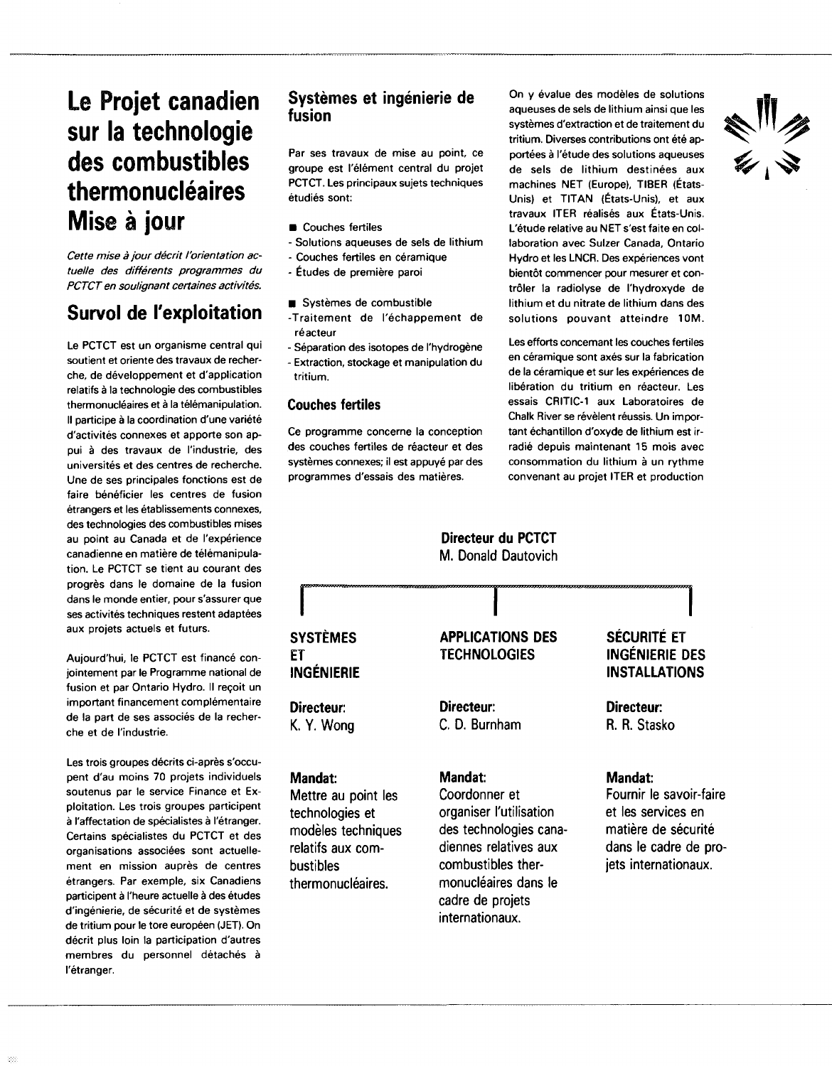# **Le Projet canadien sur la technologie des combustibles thermonucléaires à jour**

Cette mise à jour décrit l'orientation actuelle des différents programmes du PCTCT en soulignant certaines activités.

### **Survol de l'exploitation**

Le PCTCT est un organisme central qui soutient et oriente des travaux de recherche, de développement et d'application relatifs à la technologie des combustibles thermonucléaires et à la télémanipulation. Il participe à la coordination d'une variété d'activités connexes et apporte son appui à des travaux de l'industrie, des universités et des centres de recherche. Une de ses principales fonctions est de faire bénéficier les centres de fusion étrangers et les établissements connexes, des technologies des combustibles mises au point au Canada et de l'expérience canadienne en matière de télémanipulation. Le PCTCT se tient au courant des progrès dans le domaine de la fusion dans le monde entier, pour s'assurer que ses activités techniques restent adaptées aux projets actuels et futurs.

Aujourd'hui, le PCTCT est financé conjointement par le Programme national de fusion et par Ontario Hydro. Il reçoit un important financement complémentaire de la part de ses associés de la recherche et de l'industrie.

Les trois groupes décrits ci-après s'occupent d'au moins 70 projets individuels soutenus par le service Finance et Exploitation. Les trois groupes participent à l'affectation de spécialistes à l'étranger. Certains spécialistes du PCTCT et des organisations associées sont actuellement en mission auprès de centres étrangers. Par exemple, six Canadiens participent à l'heure actuelle à des études d'ingénierie, de sécurité et de systèmes de tritium pour le tore européen (JET). On décrit plus loin la participation d'autres membres du personnel détachés à l'étranger.

### Systèmes et ingénierie de fusion

Par ses travaux de mise au point, ce groupe est l'élément central du projet PCTCT. Les principaux sujets techniques étudiés sont:

- **Couches fertiles**
- Solutions aqueuses de sels de lithium
- Couches fertiles en céramique
- Études de première paroi
- Systèmes de combustible
- -Traitement de l'échappement de réacteur
- Séparation des isotopes de l'hydrogène - Extraction, stockage et manipulation du tritium.

#### **Couches fertiles**

Ce programme concerne la conception des couches fertiles de réacteur et des systèmes connexes; il est appuyé par des programmes d'essais des matières.

On y évalue des modèles de solutions aqueuses de sels de lithium ainsi que les systèmes d'extraction et de traitement du tritium. Diverses contributions ont été apportées à l'étude des solutions aqueuses de sels de lithium destinées aux machines NET (Europe), TIBER (États-Unis) et TITAN (États-Unis), et aux travaux ITER réalisés aux États-Unis. L'étude relative au NET s'est faite en collaboration avec Sulzer Canada, Ontario Hydro et les LNCR. Des expériences vont bientôt commencer pour mesurer et contrôler la radiolyse de l'hydroxyde de lithium et du nitrate de lithium dans des solutions pouvant atteindre 10M.

Les efforts concernant les couches fertiles en céramique sont axés sur la fabrication de la céramique et sur les expériences de libération du tritium en réacteur. Les essais CRITIC-1 aux Laboratoires de Chalk River se révèlent réussis. Un important échantillon d'oxyde de lithium est irradié depuis maintenant 15 mois avec consommation du lithium à un rythme convenant au projet ITER et production

**I**

#### **Directeur du PCTCT** M. Donald Dautovich

#### **I SYSTÈMES ET INGÉNIERIE Directeur: K. Y. Wong Mandat:** Mettre au point les technologies et modèles techniques relatifs aux combustibles thermonucléaires. **I APPLICATIONS DES TECHNOLOGIES Directeur:** C. D. Burnham **Mandat:** Coordonner et organiser l'utilisation des technologies canadiennes relatives aux combustibles thermonucléaires dans le **SÉCURITÉ ET INGÉNIERIE DES INSTALLATIONS Directeur:** R. R. Stasko **Mandat:** Fournir le savoir-faire et les services en matière de sécurité dans le cadre de projets internationaux.

cadre de projets internationaux.

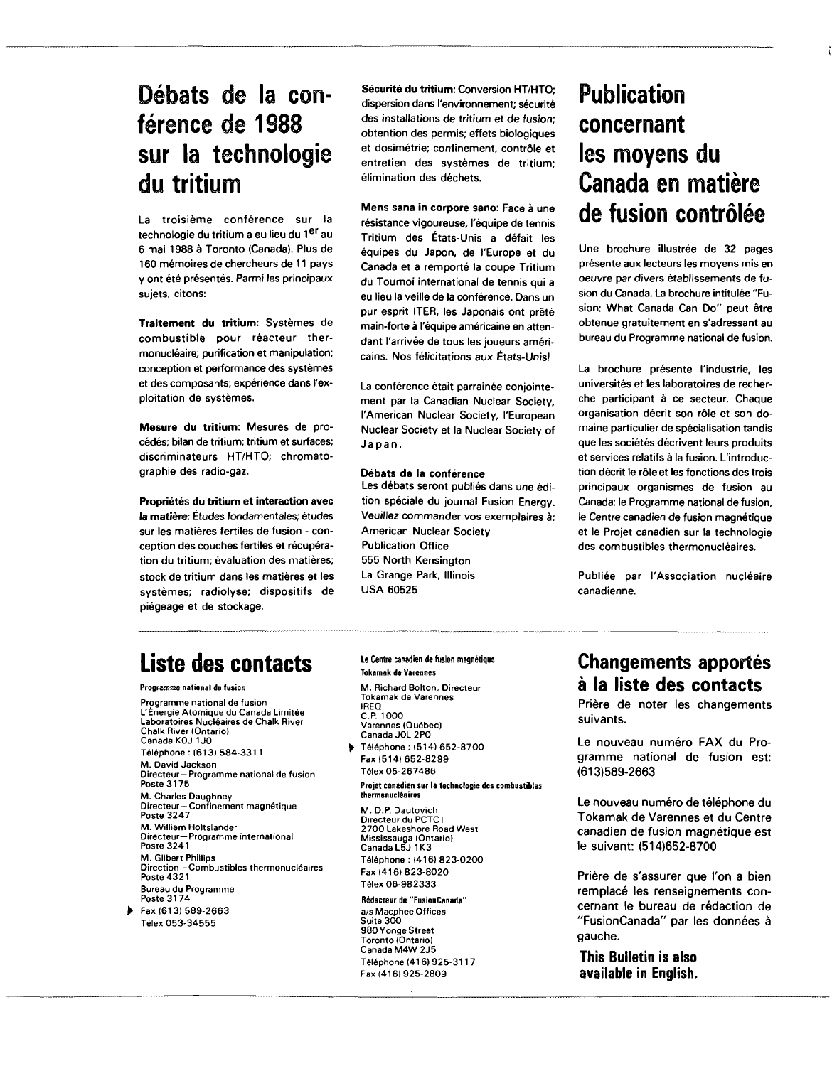### **Débats de la con**férence de 1988 **sur la technologie du tritium**

La troisième conférence sur la technologie du tritium a eu lieu du 1<sup>er</sup> au 6 mai 1988 à Toronto (Canada). Plus de 160 mémoires de chercheurs de 11 pays y ont été présentés. Parmi les principaux sujets, citons:

**Traitement du tritium:** Systèmes de combustible pour réacteur thermonucléaire; purification et manipulation; conception et performance des systèmes et des composants; expérience dans l'exploitation de systèmes.

**Mesure du tritium:** Mesures de procédés; bilan de tritium; tritium et surfaces; discriminateurs HT/HTO; chromatographie des radio-gaz.

**Propriétés du tritium et interaction avec la matière:** Études fondamentales; études sur les matières fertiles de fusion - conception des couches fertiles et récupération du tritium; évaluation des matières; stock de tritium dans les matières et les systèmes; radiolyse; dispositifs de piégeage et de stockage.

**Sécurité du tritium:** Conversion HT/HTO; dispersion dans l'environnement; sécurité des installations de tritium et de fusion; obtention des permis; effets biologiques et dosimétrie; confinement, contrôle et entretien des systèmes de tritium; élimination des déchets.

**Mens sana in corpore sano:** Face à une résistance vigoureuse, l'équipe de tennis Tritium des États-Unis a défait les équipes du Japon, de l'Europe et du Canada et a remporté la coupe Tritium du Tournoi international de tennis qui a eu lieu la veille de la conférence. Dans un pur esprit ITER, les Japonais ont prêté main-forte à l'équipe américaine en attendant l'arrivée de tous les joueurs américains. Nos félicitations aux États-Unisl

La conférence était parrainée conjointement par la Canadian Nuclear Society, l'American Nuclear Society, l'European Nuclear Society et la Nuclear Society of Japan.

#### **Débats de** la **conférence**

Les débats seront publiés dans une édition spéciale du journal Fusion Energy. Veuillez commander vos exemplaires à: American Nuclear Society Publication Office 555 North Kensington La Grange Park, Illinois USA 60525

# **Publication concernant les moyens du Canada en matière de fusion contrôlée**

Une brochure illustrée de 32 pages présente aux lecteurs les moyens mis en oeuvre par divers établissements de fusion du Canada. La brochure intitulée "Fusion: What Canada Can Do" peut être obtenue gratuitement en s'adressant au bureau du Programme national de fusion.

La brochure présente l'industrie, les universités et les laboratoires de recherche participant à ce secteur. Chaque organisation décrit son rôle et son domaine particulier de spécialisation tandis que les sociétés décrivent leurs produits et services relatifs à la fusion. L'introduction décrit le rôle et les fonctions des trois principaux organismes de fusion au Canada: le Programme national de fusion, le Centre canadien de fusion magnétique et le Projet canadien sur la technologie des combustibles thermonucléaires.

Publiée par l'Association nucléaire canadienne.

### **Liste des contacts**

**Programme national de fusion**

**Programme national de fusion L'Énergie Atomique du Canada Limitée Laboratoires Nucléaires de Chalk River Chalk River (Ontario) Canada KOJ 1J0 Téléphone : (613) 584-3311 M. David Jackson Directeur—Programme national de fusion Poste 317 5 M. Charles Daughney Directeur—Confinement magnétique Poste 324 7 M. William Holtslander Directeur— Programme international Poste 3241 M. Gilbert Phillips**  $-$  Combustibles thermonucléaires **Poste 432 1 Bureau du Programme Poste 317 4 Fax (613) 589-266 3 Télex 053-3455 5**

#### Le Centre canadien de fusion magnétique **Tokamak de Varennes**

**M. Richard Bolton, Directeur Tokamak de Varennes IREQ C.P. 1000 Varennes (Québec) Canada JOL 2P0 Téléphone : (514) 652-870 0**

**Fax 1514) 652-829 9 Télex 05-26748 6**

**Projet canadien sur la technologie des combustibles thermonucléaires**

**M. D.P. Dautovich Directeur du PCTCT 270 0 Lakeshore Road West Mississauga (Ontario) Canada L5J 1K3 Téléphone : (416) 823-020 0 Fax (416) 823-802 0 Télex 06-98233 3**

**Rédacteur de "FusionCanada" a/s Macphee Offices Suite 300 9 80 Yonge Street Toronto (Ontario) Canada M4W2 J 5 Téléphone (416) 925-311 7 Fax (416) 925-2809**

### **Changements apportés à la liste des contacts**

Prière de noter les changements suivants.

Le nouveau numéro FAX du Programme national de fusion est: (613)589-2663

Le nouveau numéro de téléphone du Tokamak de Varennes et du Centre canadien de fusion magnétique est le suivant: (514)652-8700

Prière de s'assurer que l'on a bien remplacé les renseignements concernant le bureau de rédaction de "FusionCanada" par les données à gauche.

**This Bulletin is also available in English.**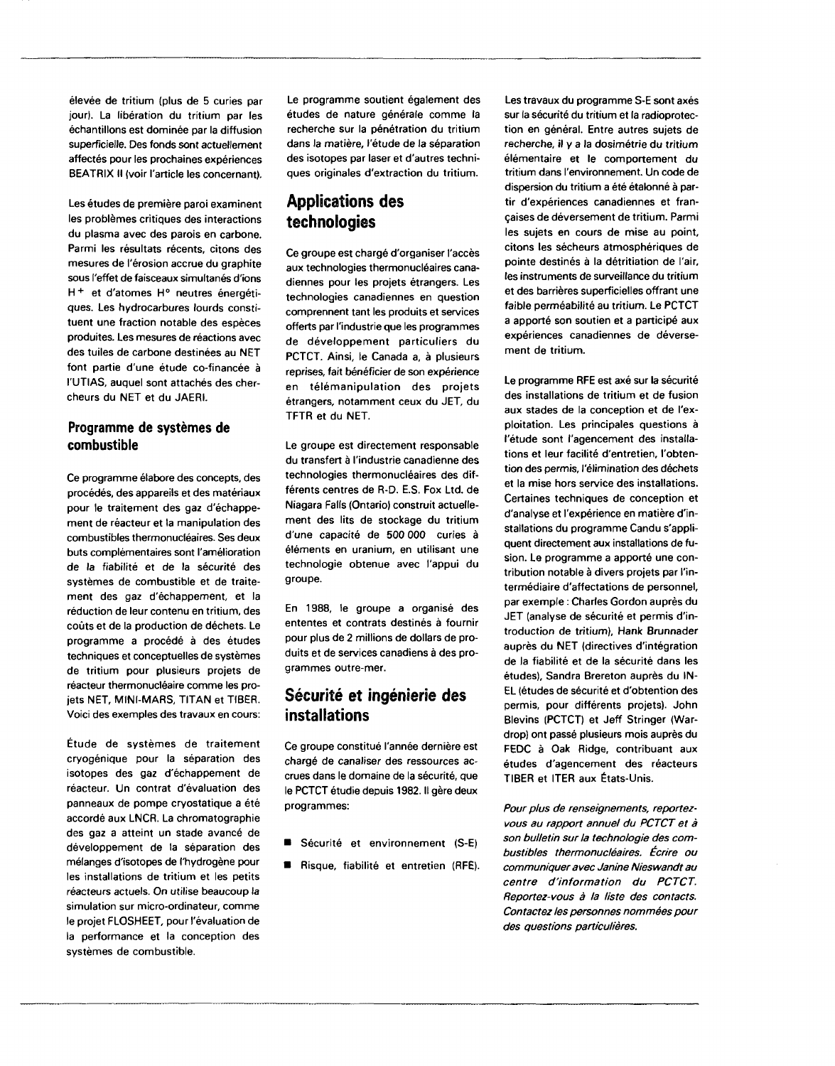élevée de tritium (plus de 5 curies par jour). La libération du tritium par les échantillons est dominée par la diffusion superficielle. Des fonds sont actuellement affectés pour les prochaines expériences BEATRIX II (voir l'article les concernant).

Les études de première paroi examinent les problèmes critiques des interactions du plasma avec des parois en carbone. Parmi les résultats récents, citons des mesures de l'érosion accrue du graphite sous l'effet de faisceaux simultanés d'ions H + et d'atomes H° neutres énergétiques. Les hydrocarbures lourds constituent une fraction notable des espèces produites. Les mesures de réactions avec des tuiles de carbone destinées au NET font partie d'une étude co-financée à l'UTIAS, auquel sont attachés des chercheurs du NET et du JAERI.

#### **Programme de systèmes de combustible**

Ce programme élabore des concepts, des procédés, des appareils et des matériaux pour le traitement des gaz d'échappement de réacteur et la manipulation des combustibles thermonucléaires. Ses deux buts complémentaires sont l'amélioration de la fiabilité et de la sécurité des systèmes de combustible et de traitement des gaz d'échappement, et la réduction de leur contenu en tritium, des coûts et de la production de déchets. Le programme a procédé à des études techniques et conceptuelles de systèmes de tritium pour plusieurs projets de réacteur thermonucléaire comme les projets NET, MINI-MARS, TITAN et TIBER. Voici des exemples des travaux en cours:

Étude de systèmes de traitement cryogénique pour la séparation des isotopes des gaz d'échappement de réacteur. Un contrat d'évaluation des panneaux de pompe cryostatique a été accordé aux LNCR. La chromatographie des gaz a atteint un stade avancé de développement de la séparation des mélanges d'isotopes de l'hydrogène pour les installations de tritium et les petits réacteurs actuels. On utilise beaucoup la simulation sur micro-ordinateur, comme le projet FLOSHEET, pour l'évaluation de la performance et la conception des systèmes de combustible.

Le programme soutient également des études de nature générale comme la recherche sur la pénétration du tritium dans la matière, l'étude de la séparation des isotopes par laser et d'autres techniques originales d'extraction du tritium.

### **Applications des technologies**

Ce groupe est chargé d'organiser l'accès aux technologies thermonucléaires canadiennes pour les projets étrangers. Les technologies canadiennes en question comprennent tant les produits et services offerts par l'industrie que les programmes de développement particuliers du PCTCT. Ainsi, le Canada a, à plusieurs reprises, fait bénéficier de son expérience en télémanipulation des projets étrangers, notamment ceux du JET, du TFTR et du NET.

Le groupe est directement responsable du transfert à l'industrie canadienne des technologies thermonucléaires des différents centres de R-D. E.S. Fox Ltd. de Niagara Falls (Ontario) construit actuellement des lits de stockage du tritium d'une capacité de 500 000 curies à éléments en uranium, en utilisant une technologie obtenue avec l'appui du groupe.

En 1988, le groupe a organisé des ententes et contrats destinés à fournir pour plus de 2 millions de dollars de produits et de services canadiens à des programmes outre-mer.

### **Sécurité et ingénierie des installations**

Ce groupe constitué l'année dernière est chargé de canaliser des ressources accrues dans le domaine de la sécurité, que le PCTCT étudie depuis 1982. Il gère deux programmes:

- **B** Sécurité et environnement (S-E)
- **B** Risque, fiabilité et entretien (RFE).

Les travaux du programme S-E sont axés sur la sécurité du tritium et la radioprotection en général. Entre autres sujets de recherche, il y a la dosimétrie du tritium élémentaire et le comportement du tritium dans l'environnement. Un code de dispersion du tritium a été étalonné à partir d'expériences canadiennes et françaises de déversement de tritium. Parmi les sujets en cours de mise au point, citons les sécheurs atmosphériques de pointe destinés à la détritiation de l'air, les instruments de surveillance du tritium et des barrières superficielles offrant une faible perméabilité au tritium. Le PCTCT a apporté son soutien et a participé aux expériences canadiennes de déversement de tritium.

Le programme RFE est axé sur la sécurité des installations de tritium et de fusion aux stades de la conception et de l'exploitation. Les principales questions à l'étude sont l'agencement des installations et leur facilité d'entretien, l'obtention des permis, l'élimination des déchets et la mise hors service des installations. Certaines techniques de conception et d'analyse et l'expérience en matière d'installations du programme Candu s'appliquent directement aux installations de fusion. Le programme a apporté une contribution notable à divers projets par l'intermédiaire d'affectations de personnel, par exemple : Charles Gordon auprès du JET (analyse de sécurité et permis d'introduction de tritium), Hank Brunnader auprès du NET (directives d'intégration de la fiabilité et de la sécurité dans les études), Sandra Brereton auprès du IN-EL (études de sécurité et d'obtention des permis, pour différents projets). John Blevins (PCTCT) et Jeff Stringer (Wardrop) ont passé plusieurs mois auprès du FEDC à Oak Ridge, contribuant aux études d'agencement des réacteurs TIBER et ITER aux États-Unis.

Pour plus de renseignements, reportezvous au rapport annuel du PCTCT et à son bulletin sur la technologie des combustibles thermonucléaires. Écrire ou communiquer avec Janine Nieswandt au centre d'information du PCTCT. Reportez-vous à la liste des contacts. Contactez les personnes nommées pour des questions particulières.